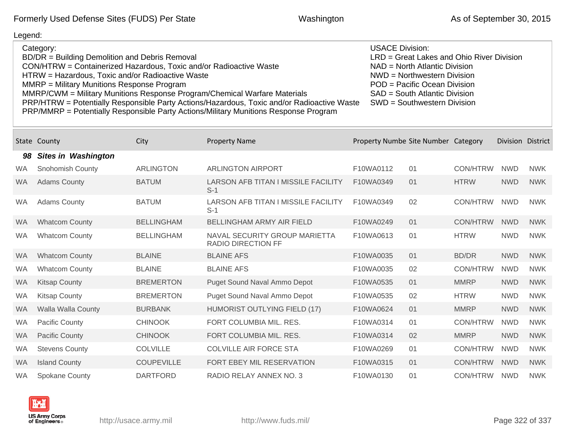| Category:<br>BD/DR = Building Demolition and Debris Removal<br>CON/HTRW = Containerized Hazardous, Toxic and/or Radioactive Waste<br>HTRW = Hazardous, Toxic and/or Radioactive Waste<br>MMRP = Military Munitions Response Program<br>MMRP/CWM = Military Munitions Response Program/Chemical Warfare Materials<br>PRP/HTRW = Potentially Responsible Party Actions/Hazardous, Toxic and/or Radioactive Waste<br>PRP/MMRP = Potentially Responsible Party Actions/Military Munitions Response Program |                            |                   |                                                            | <b>USACE Division:</b>              | LRD = Great Lakes and Ohio River Division<br>NAD = North Atlantic Division<br>NWD = Northwestern Division<br>POD = Pacific Ocean Division<br>SAD = South Atlantic Division<br>SWD = Southwestern Division |                 |                   |            |
|--------------------------------------------------------------------------------------------------------------------------------------------------------------------------------------------------------------------------------------------------------------------------------------------------------------------------------------------------------------------------------------------------------------------------------------------------------------------------------------------------------|----------------------------|-------------------|------------------------------------------------------------|-------------------------------------|-----------------------------------------------------------------------------------------------------------------------------------------------------------------------------------------------------------|-----------------|-------------------|------------|
|                                                                                                                                                                                                                                                                                                                                                                                                                                                                                                        | State County               | City              | <b>Property Name</b>                                       | Property Numbe Site Number Category |                                                                                                                                                                                                           |                 | Division District |            |
| 98                                                                                                                                                                                                                                                                                                                                                                                                                                                                                                     | <b>Sites in Washington</b> |                   |                                                            |                                     |                                                                                                                                                                                                           |                 |                   |            |
| <b>WA</b>                                                                                                                                                                                                                                                                                                                                                                                                                                                                                              | Snohomish County           | <b>ARLINGTON</b>  | <b>ARLINGTON AIRPORT</b>                                   | F10WA0112                           | 01                                                                                                                                                                                                        | <b>CON/HTRW</b> | <b>NWD</b>        | <b>NWK</b> |
| <b>WA</b>                                                                                                                                                                                                                                                                                                                                                                                                                                                                                              | <b>Adams County</b>        | <b>BATUM</b>      | LARSON AFB TITAN I MISSILE FACILITY<br>$S-1$               | F10WA0349                           | 01                                                                                                                                                                                                        | <b>HTRW</b>     | <b>NWD</b>        | <b>NWK</b> |
| <b>WA</b>                                                                                                                                                                                                                                                                                                                                                                                                                                                                                              | <b>Adams County</b>        | <b>BATUM</b>      | <b>LARSON AFB TITAN I MISSILE FACILITY</b><br>$S-1$        | F10WA0349                           | 02                                                                                                                                                                                                        | CON/HTRW        | <b>NWD</b>        | <b>NWK</b> |
| <b>WA</b>                                                                                                                                                                                                                                                                                                                                                                                                                                                                                              | <b>Whatcom County</b>      | <b>BELLINGHAM</b> | BELLINGHAM ARMY AIR FIELD                                  | F10WA0249                           | 01                                                                                                                                                                                                        | <b>CON/HTRW</b> | <b>NWD</b>        | <b>NWK</b> |
| <b>WA</b>                                                                                                                                                                                                                                                                                                                                                                                                                                                                                              | <b>Whatcom County</b>      | <b>BELLINGHAM</b> | NAVAL SECURITY GROUP MARIETTA<br><b>RADIO DIRECTION FF</b> | F10WA0613                           | 01                                                                                                                                                                                                        | <b>HTRW</b>     | <b>NWD</b>        | <b>NWK</b> |
| <b>WA</b>                                                                                                                                                                                                                                                                                                                                                                                                                                                                                              | <b>Whatcom County</b>      | <b>BLAINE</b>     | <b>BLAINE AFS</b>                                          | F10WA0035                           | 01                                                                                                                                                                                                        | <b>BD/DR</b>    | <b>NWD</b>        | <b>NWK</b> |
| WA                                                                                                                                                                                                                                                                                                                                                                                                                                                                                                     | <b>Whatcom County</b>      | <b>BLAINE</b>     | <b>BLAINE AFS</b>                                          | F10WA0035                           | 02                                                                                                                                                                                                        | <b>CON/HTRW</b> | <b>NWD</b>        | <b>NWK</b> |
| <b>WA</b>                                                                                                                                                                                                                                                                                                                                                                                                                                                                                              | <b>Kitsap County</b>       | <b>BREMERTON</b>  | <b>Puget Sound Naval Ammo Depot</b>                        | F10WA0535                           | 01                                                                                                                                                                                                        | <b>MMRP</b>     | <b>NWD</b>        | <b>NWK</b> |
| <b>WA</b>                                                                                                                                                                                                                                                                                                                                                                                                                                                                                              | <b>Kitsap County</b>       | <b>BREMERTON</b>  | Puget Sound Naval Ammo Depot                               | F10WA0535                           | 02                                                                                                                                                                                                        | <b>HTRW</b>     | <b>NWD</b>        | <b>NWK</b> |
| <b>WA</b>                                                                                                                                                                                                                                                                                                                                                                                                                                                                                              | Walla Walla County         | <b>BURBANK</b>    | <b>HUMORIST OUTLYING FIELD (17)</b>                        | F10WA0624                           | 01                                                                                                                                                                                                        | <b>MMRP</b>     | <b>NWD</b>        | <b>NWK</b> |
| <b>WA</b>                                                                                                                                                                                                                                                                                                                                                                                                                                                                                              | <b>Pacific County</b>      | <b>CHINOOK</b>    | FORT COLUMBIA MIL. RES.                                    | F10WA0314                           | 01                                                                                                                                                                                                        | <b>CON/HTRW</b> | <b>NWD</b>        | <b>NWK</b> |
| <b>WA</b>                                                                                                                                                                                                                                                                                                                                                                                                                                                                                              | <b>Pacific County</b>      | <b>CHINOOK</b>    | FORT COLUMBIA MIL. RES.                                    | F10WA0314                           | 02                                                                                                                                                                                                        | <b>MMRP</b>     | <b>NWD</b>        | <b>NWK</b> |
| <b>WA</b>                                                                                                                                                                                                                                                                                                                                                                                                                                                                                              | <b>Stevens County</b>      | <b>COLVILLE</b>   | <b>COLVILLE AIR FORCE STA</b>                              | F10WA0269                           | 01                                                                                                                                                                                                        | <b>CON/HTRW</b> | <b>NWD</b>        | <b>NWK</b> |
| <b>WA</b>                                                                                                                                                                                                                                                                                                                                                                                                                                                                                              | <b>Island County</b>       | <b>COUPEVILLE</b> | FORT EBEY MIL RESERVATION                                  | F10WA0315                           | 01                                                                                                                                                                                                        | <b>CON/HTRW</b> | <b>NWD</b>        | <b>NWK</b> |
| <b>WA</b>                                                                                                                                                                                                                                                                                                                                                                                                                                                                                              | <b>Spokane County</b>      | <b>DARTFORD</b>   | RADIO RELAY ANNEX NO. 3                                    | F10WA0130                           | 01                                                                                                                                                                                                        | <b>CON/HTRW</b> | <b>NWD</b>        | <b>NWK</b> |

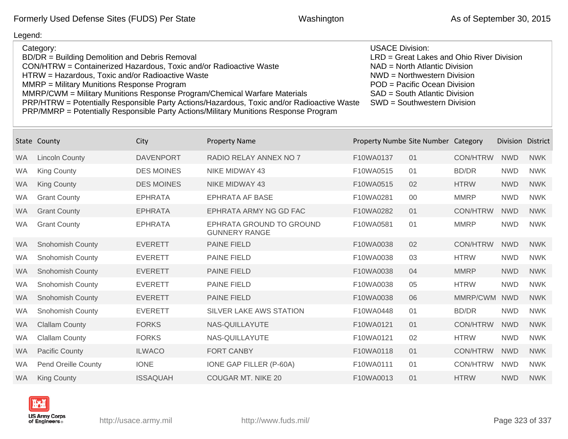| Category:                                                                                  | <b>USACE Division:</b>                    |
|--------------------------------------------------------------------------------------------|-------------------------------------------|
| BD/DR = Building Demolition and Debris Removal                                             | LRD = Great Lakes and Ohio River Division |
| CON/HTRW = Containerized Hazardous, Toxic and/or Radioactive Waste                         | $NAD = North Atlantic Division$           |
| HTRW = Hazardous, Toxic and/or Radioactive Waste                                           | $NWD = Northwestern Division$             |
| MMRP = Military Munitions Response Program                                                 | POD = Pacific Ocean Division              |
| MMRP/CWM = Military Munitions Response Program/Chemical Warfare Materials                  | SAD = South Atlantic Division             |
| PRP/HTRW = Potentially Responsible Party Actions/Hazardous, Toxic and/or Radioactive Waste | SWD = Southwestern Division               |
| PRP/MMRP = Potentially Responsible Party Actions/Military Munitions Response Program       |                                           |

| State     | County                  | City              | <b>Property Name</b>                             | Property Numbe Site Number Category |    |                 | Division District |            |
|-----------|-------------------------|-------------------|--------------------------------------------------|-------------------------------------|----|-----------------|-------------------|------------|
| <b>WA</b> | <b>Lincoln County</b>   | <b>DAVENPORT</b>  | RADIO RELAY ANNEX NO 7                           | F10WA0137                           | 01 | <b>CON/HTRW</b> | <b>NWD</b>        | <b>NWK</b> |
| <b>WA</b> | <b>King County</b>      | <b>DES MOINES</b> | NIKE MIDWAY 43                                   | F10WA0515                           | 01 | <b>BD/DR</b>    | <b>NWD</b>        | <b>NWK</b> |
| <b>WA</b> | <b>King County</b>      | <b>DES MOINES</b> | <b>NIKE MIDWAY 43</b>                            | F10WA0515                           | 02 | <b>HTRW</b>     | <b>NWD</b>        | <b>NWK</b> |
| <b>WA</b> | <b>Grant County</b>     | <b>EPHRATA</b>    | <b>EPHRATA AF BASE</b>                           | F10WA0281                           | 00 | <b>MMRP</b>     | <b>NWD</b>        | <b>NWK</b> |
| <b>WA</b> | <b>Grant County</b>     | <b>EPHRATA</b>    | EPHRATA ARMY NG GD FAC                           | F10WA0282                           | 01 | <b>CON/HTRW</b> | <b>NWD</b>        | <b>NWK</b> |
| <b>WA</b> | <b>Grant County</b>     | <b>EPHRATA</b>    | EPHRATA GROUND TO GROUND<br><b>GUNNERY RANGE</b> | F10WA0581                           | 01 | <b>MMRP</b>     | <b>NWD</b>        | <b>NWK</b> |
| <b>WA</b> | <b>Snohomish County</b> | <b>EVERETT</b>    | <b>PAINE FIELD</b>                               | F10WA0038                           | 02 | <b>CON/HTRW</b> | <b>NWD</b>        | <b>NWK</b> |
| <b>WA</b> | Snohomish County        | <b>EVERETT</b>    | <b>PAINE FIELD</b>                               | F10WA0038                           | 03 | <b>HTRW</b>     | <b>NWD</b>        | <b>NWK</b> |
| <b>WA</b> | <b>Snohomish County</b> | <b>EVERETT</b>    | <b>PAINE FIELD</b>                               | F10WA0038                           | 04 | <b>MMRP</b>     | <b>NWD</b>        | <b>NWK</b> |
| <b>WA</b> | Snohomish County        | <b>EVERETT</b>    | <b>PAINE FIELD</b>                               | F10WA0038                           | 05 | <b>HTRW</b>     | <b>NWD</b>        | <b>NWK</b> |
| <b>WA</b> | <b>Snohomish County</b> | <b>EVERETT</b>    | <b>PAINE FIELD</b>                               | F10WA0038                           | 06 | MMRP/CWM        | <b>NWD</b>        | <b>NWK</b> |
| <b>WA</b> | <b>Snohomish County</b> | <b>EVERETT</b>    | SILVER LAKE AWS STATION                          | F10WA0448                           | 01 | <b>BD/DR</b>    | <b>NWD</b>        | <b>NWK</b> |
| <b>WA</b> | <b>Clallam County</b>   | <b>FORKS</b>      | NAS-QUILLAYUTE                                   | F10WA0121                           | 01 | <b>CON/HTRW</b> | <b>NWD</b>        | <b>NWK</b> |
| <b>WA</b> | <b>Clallam County</b>   | <b>FORKS</b>      | NAS-QUILLAYUTE                                   | F10WA0121                           | 02 | <b>HTRW</b>     | <b>NWD</b>        | <b>NWK</b> |
| <b>WA</b> | <b>Pacific County</b>   | <b>ILWACO</b>     | <b>FORT CANBY</b>                                | F10WA0118                           | 01 | <b>CON/HTRW</b> | <b>NWD</b>        | <b>NWK</b> |
| <b>WA</b> | Pend Oreille County     | <b>IONE</b>       | IONE GAP FILLER (P-60A)                          | F10WA0111                           | 01 | <b>CON/HTRW</b> | <b>NWD</b>        | <b>NWK</b> |
| <b>WA</b> | <b>King County</b>      | <b>ISSAQUAH</b>   | <b>COUGAR MT, NIKE 20</b>                        | F10WA0013                           | 01 | <b>HTRW</b>     | <b>NWD</b>        | <b>NWK</b> |

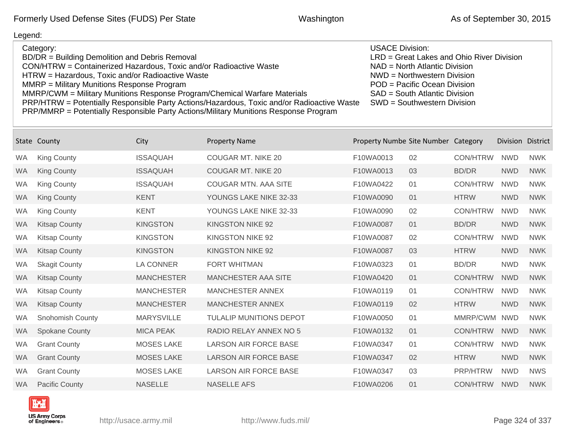### Legend: Category: BD/DR = Building Demolition and Debris Removal CON/HTRW = Containerized Hazardous, Toxic and/or Radioactive Waste HTRW = Hazardous, Toxic and/or Radioactive Waste MMRP = Military Munitions Response Program MMRP/CWM = Military Munitions Response Program/Chemical Warfare Materials PRP/HTRW = Potentially Responsible Party Actions/Hazardous, Toxic and/or Radioactive Waste PRP/MMRP = Potentially Responsible Party Actions/Military Munitions Response Program USACE Division: LRD = Great Lakes and Ohio River Division NAD = North Atlantic Division NWD = Northwestern Division POD = Pacific Ocean Division SAD = South Atlantic Division SWD = Southwestern Division

|           | State County          | City              | <b>Property Name</b>           | Property Numbe Site Number Category |    |                 | Division District |            |
|-----------|-----------------------|-------------------|--------------------------------|-------------------------------------|----|-----------------|-------------------|------------|
| WA        | <b>King County</b>    | <b>ISSAQUAH</b>   | <b>COUGAR MT, NIKE 20</b>      | F10WA0013                           | 02 | <b>CON/HTRW</b> | <b>NWD</b>        | <b>NWK</b> |
| <b>WA</b> | <b>King County</b>    | <b>ISSAQUAH</b>   | <b>COUGAR MT. NIKE 20</b>      | F10WA0013                           | 03 | <b>BD/DR</b>    | <b>NWD</b>        | <b>NWK</b> |
| <b>WA</b> | <b>King County</b>    | <b>ISSAQUAH</b>   | <b>COUGAR MTN. AAA SITE</b>    | F10WA0422                           | 01 | <b>CON/HTRW</b> | <b>NWD</b>        | <b>NWK</b> |
| <b>WA</b> | <b>King County</b>    | <b>KENT</b>       | YOUNGS LAKE NIKE 32-33         | F10WA0090                           | 01 | <b>HTRW</b>     | <b>NWD</b>        | <b>NWK</b> |
| <b>WA</b> | King County           | <b>KENT</b>       | YOUNGS LAKE NIKE 32-33         | F10WA0090                           | 02 | <b>CON/HTRW</b> | <b>NWD</b>        | <b>NWK</b> |
| <b>WA</b> | <b>Kitsap County</b>  | <b>KINGSTON</b>   | <b>KINGSTON NIKE 92</b>        | F10WA0087                           | 01 | <b>BD/DR</b>    | <b>NWD</b>        | <b>NWK</b> |
| <b>WA</b> | <b>Kitsap County</b>  | <b>KINGSTON</b>   | KINGSTON NIKE 92               | F10WA0087                           | 02 | <b>CON/HTRW</b> | <b>NWD</b>        | <b>NWK</b> |
| <b>WA</b> | <b>Kitsap County</b>  | <b>KINGSTON</b>   | KINGSTON NIKE 92               | F10WA0087                           | 03 | <b>HTRW</b>     | <b>NWD</b>        | <b>NWK</b> |
| <b>WA</b> | <b>Skagit County</b>  | <b>LA CONNER</b>  | <b>FORT WHITMAN</b>            | F10WA0323                           | 01 | <b>BD/DR</b>    | <b>NWD</b>        | <b>NWK</b> |
| <b>WA</b> | <b>Kitsap County</b>  | <b>MANCHESTER</b> | <b>MANCHESTER AAA SITE</b>     | F10WA0420                           | 01 | <b>CON/HTRW</b> | <b>NWD</b>        | <b>NWK</b> |
| <b>WA</b> | <b>Kitsap County</b>  | <b>MANCHESTER</b> | <b>MANCHESTER ANNEX</b>        | F10WA0119                           | 01 | <b>CON/HTRW</b> | <b>NWD</b>        | <b>NWK</b> |
| <b>WA</b> | <b>Kitsap County</b>  | <b>MANCHESTER</b> | <b>MANCHESTER ANNEX</b>        | F10WA0119                           | 02 | <b>HTRW</b>     | <b>NWD</b>        | <b>NWK</b> |
| <b>WA</b> | Snohomish County      | <b>MARYSVILLE</b> | <b>TULALIP MUNITIONS DEPOT</b> | F10WA0050                           | 01 | MMRP/CWM        | <b>NWD</b>        | <b>NWK</b> |
| <b>WA</b> | <b>Spokane County</b> | <b>MICA PEAK</b>  | RADIO RELAY ANNEX NO 5         | F10WA0132                           | 01 | <b>CON/HTRW</b> | <b>NWD</b>        | <b>NWK</b> |
| <b>WA</b> | <b>Grant County</b>   | <b>MOSES LAKE</b> | <b>LARSON AIR FORCE BASE</b>   | F10WA0347                           | 01 | <b>CON/HTRW</b> | <b>NWD</b>        | <b>NWK</b> |
| <b>WA</b> | <b>Grant County</b>   | <b>MOSES LAKE</b> | <b>LARSON AIR FORCE BASE</b>   | F10WA0347                           | 02 | <b>HTRW</b>     | <b>NWD</b>        | <b>NWK</b> |
| <b>WA</b> | <b>Grant County</b>   | <b>MOSES LAKE</b> | <b>LARSON AIR FORCE BASE</b>   | F10WA0347                           | 03 | PRP/HTRW        | <b>NWD</b>        | <b>NWS</b> |
| <b>WA</b> | <b>Pacific County</b> | <b>NASELLE</b>    | <b>NASELLE AFS</b>             | F10WA0206                           | 01 | <b>CON/HTRW</b> | <b>NWD</b>        | <b>NWK</b> |

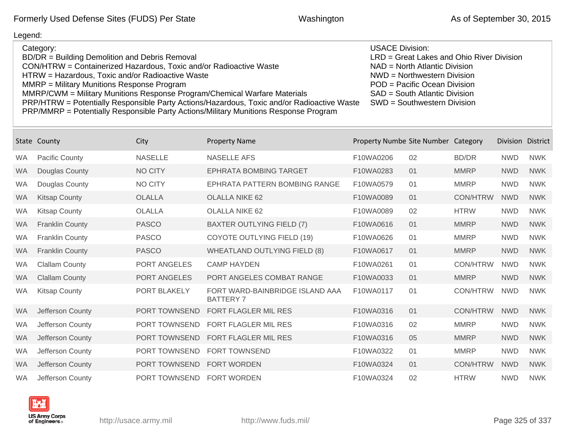| Category:                                                                                  | USACE Division:                           |
|--------------------------------------------------------------------------------------------|-------------------------------------------|
| BD/DR = Building Demolition and Debris Removal                                             | LRD = Great Lakes and Ohio River Division |
| CON/HTRW = Containerized Hazardous, Toxic and/or Radioactive Waste                         | $NAD = North Atlantic Division$           |
| HTRW = Hazardous, Toxic and/or Radioactive Waste                                           | NWD = Northwestern Division               |
| MMRP = Military Munitions Response Program                                                 | POD = Pacific Ocean Division              |
| MMRP/CWM = Military Munitions Response Program/Chemical Warfare Materials                  | SAD = South Atlantic Division             |
| PRP/HTRW = Potentially Responsible Party Actions/Hazardous, Toxic and/or Radioactive Waste | SWD = Southwestern Division               |
| PRP/MMRP = Potentially Responsible Party Actions/Military Munitions Response Program       |                                           |

|           | State County           | City                 | <b>Property Name</b>                                | Property Numbe Site Number Category |    |                 | Division District |            |
|-----------|------------------------|----------------------|-----------------------------------------------------|-------------------------------------|----|-----------------|-------------------|------------|
| <b>WA</b> | <b>Pacific County</b>  | <b>NASELLE</b>       | <b>NASELLE AFS</b>                                  | F10WA0206                           | 02 | <b>BD/DR</b>    | <b>NWD</b>        | <b>NWK</b> |
| <b>WA</b> | Douglas County         | <b>NO CITY</b>       | <b>EPHRATA BOMBING TARGET</b>                       | F10WA0283                           | 01 | <b>MMRP</b>     | <b>NWD</b>        | <b>NWK</b> |
| <b>WA</b> | Douglas County         | <b>NO CITY</b>       | EPHRATA PATTERN BOMBING RANGE                       | F10WA0579                           | 01 | <b>MMRP</b>     | <b>NWD</b>        | <b>NWK</b> |
| <b>WA</b> | <b>Kitsap County</b>   | <b>OLALLA</b>        | <b>OLALLA NIKE 62</b>                               | F10WA0089                           | 01 | <b>CON/HTRW</b> | <b>NWD</b>        | <b>NWK</b> |
| <b>WA</b> | <b>Kitsap County</b>   | <b>OLALLA</b>        | <b>OLALLA NIKE 62</b>                               | F10WA0089                           | 02 | <b>HTRW</b>     | <b>NWD</b>        | <b>NWK</b> |
| <b>WA</b> | <b>Franklin County</b> | <b>PASCO</b>         | <b>BAXTER OUTLYING FIELD (7)</b>                    | F10WA0616                           | 01 | <b>MMRP</b>     | <b>NWD</b>        | <b>NWK</b> |
| <b>WA</b> | <b>Franklin County</b> | <b>PASCO</b>         | <b>COYOTE OUTLYING FIELD (19)</b>                   | F10WA0626                           | 01 | <b>MMRP</b>     | <b>NWD</b>        | <b>NWK</b> |
| <b>WA</b> | <b>Franklin County</b> | <b>PASCO</b>         | <b>WHEATLAND OUTLYING FIELD (8)</b>                 | F10WA0617                           | 01 | <b>MMRP</b>     | <b>NWD</b>        | <b>NWK</b> |
| <b>WA</b> | <b>Clallam County</b>  | PORT ANGELES         | <b>CAMP HAYDEN</b>                                  | F10WA0261                           | 01 | <b>CON/HTRW</b> | <b>NWD</b>        | <b>NWK</b> |
| <b>WA</b> | <b>Clallam County</b>  | <b>PORT ANGELES</b>  | PORT ANGELES COMBAT RANGE                           | F10WA0033                           | 01 | <b>MMRP</b>     | <b>NWD</b>        | <b>NWK</b> |
| WA        | <b>Kitsap County</b>   | PORT BLAKELY         | FORT WARD-BAINBRIDGE ISLAND AAA<br><b>BATTERY 7</b> | F10WA0117                           | 01 | <b>CON/HTRW</b> | <b>NWD</b>        | <b>NWK</b> |
| <b>WA</b> | Jefferson County       | <b>PORT TOWNSEND</b> | FORT FLAGLER MIL RES                                | F10WA0316                           | 01 | <b>CON/HTRW</b> | <b>NWD</b>        | <b>NWK</b> |
| <b>WA</b> | Jefferson County       | PORT TOWNSEND        | <b>FORT FLAGLER MIL RES</b>                         | F10WA0316                           | 02 | <b>MMRP</b>     | <b>NWD</b>        | <b>NWK</b> |
| <b>WA</b> | Jefferson County       | PORT TOWNSEND        | <b>FORT FLAGLER MIL RES</b>                         | F10WA0316                           | 05 | <b>MMRP</b>     | <b>NWD</b>        | <b>NWK</b> |
| <b>WA</b> | Jefferson County       | PORT TOWNSEND        | <b>FORT TOWNSEND</b>                                | F10WA0322                           | 01 | <b>MMRP</b>     | <b>NWD</b>        | <b>NWK</b> |
| <b>WA</b> | Jefferson County       | PORT TOWNSEND        | <b>FORT WORDEN</b>                                  | F10WA0324                           | 01 | <b>CON/HTRW</b> | <b>NWD</b>        | <b>NWK</b> |
| <b>WA</b> | Jefferson County       | PORT TOWNSEND        | <b>FORT WORDEN</b>                                  | F10WA0324                           | 02 | <b>HTRW</b>     | <b>NWD</b>        | <b>NWK</b> |

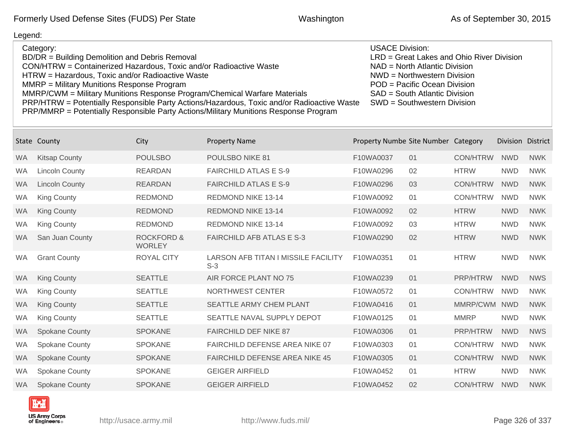| Category:                                                                                  | <b>USACE Division:</b>                    |
|--------------------------------------------------------------------------------------------|-------------------------------------------|
| BD/DR = Building Demolition and Debris Removal                                             | LRD = Great Lakes and Ohio River Division |
| CON/HTRW = Containerized Hazardous, Toxic and/or Radioactive Waste                         | $NAD = North Atlantic Division$           |
| HTRW = Hazardous, Toxic and/or Radioactive Waste                                           | NWD = Northwestern Division               |
| MMRP = Military Munitions Response Program                                                 | POD = Pacific Ocean Division              |
| MMRP/CWM = Military Munitions Response Program/Chemical Warfare Materials                  | SAD = South Atlantic Division             |
| PRP/HTRW = Potentially Responsible Party Actions/Hazardous, Toxic and/or Radioactive Waste | SWD = Southwestern Division               |
| PRP/MMRP = Potentially Responsible Party Actions/Military Munitions Response Program       |                                           |

| State     | County                | City                                   | <b>Property Name</b>                                | Property Numbe Site Number Category |    |                 | <b>Division</b> | <b>District</b> |
|-----------|-----------------------|----------------------------------------|-----------------------------------------------------|-------------------------------------|----|-----------------|-----------------|-----------------|
| <b>WA</b> | <b>Kitsap County</b>  | <b>POULSBO</b>                         | POULSBO NIKE 81                                     | F10WA0037                           | 01 | <b>CON/HTRW</b> | <b>NWD</b>      | <b>NWK</b>      |
| <b>WA</b> | <b>Lincoln County</b> | <b>REARDAN</b>                         | <b>FAIRCHILD ATLAS E S-9</b>                        | F10WA0296                           | 02 | <b>HTRW</b>     | <b>NWD</b>      | <b>NWK</b>      |
| <b>WA</b> | <b>Lincoln County</b> | <b>REARDAN</b>                         | <b>FAIRCHILD ATLAS E S-9</b>                        | F10WA0296                           | 03 | <b>CON/HTRW</b> | <b>NWD</b>      | <b>NWK</b>      |
| <b>WA</b> | <b>King County</b>    | <b>REDMOND</b>                         | <b>REDMOND NIKE 13-14</b>                           | F10WA0092                           | 01 | <b>CON/HTRW</b> | <b>NWD</b>      | <b>NWK</b>      |
| <b>WA</b> | <b>King County</b>    | <b>REDMOND</b>                         | <b>REDMOND NIKE 13-14</b>                           | F10WA0092                           | 02 | <b>HTRW</b>     | <b>NWD</b>      | <b>NWK</b>      |
| <b>WA</b> | <b>King County</b>    | <b>REDMOND</b>                         | <b>REDMOND NIKE 13-14</b>                           | F10WA0092                           | 03 | <b>HTRW</b>     | <b>NWD</b>      | <b>NWK</b>      |
| <b>WA</b> | San Juan County       | <b>ROCKFORD &amp;</b><br><b>WORLEY</b> | <b>FAIRCHILD AFB ATLAS E S-3</b>                    | F10WA0290                           | 02 | <b>HTRW</b>     | <b>NWD</b>      | <b>NWK</b>      |
| <b>WA</b> | <b>Grant County</b>   | <b>ROYAL CITY</b>                      | <b>LARSON AFB TITAN I MISSILE FACILITY</b><br>$S-3$ | F10WA0351                           | 01 | <b>HTRW</b>     | <b>NWD</b>      | <b>NWK</b>      |
| <b>WA</b> | <b>King County</b>    | <b>SEATTLE</b>                         | AIR FORCE PLANT NO 75                               | F10WA0239                           | 01 | PRP/HTRW        | <b>NWD</b>      | <b>NWS</b>      |
| <b>WA</b> | <b>King County</b>    | <b>SEATTLE</b>                         | NORTHWEST CENTER                                    | F10WA0572                           | 01 | <b>CON/HTRW</b> | <b>NWD</b>      | <b>NWK</b>      |
| <b>WA</b> | <b>King County</b>    | <b>SEATTLE</b>                         | <b>SEATTLE ARMY CHEM PLANT</b>                      | F10WA0416                           | 01 | MMRP/CWM        | <b>NWD</b>      | <b>NWK</b>      |
| <b>WA</b> | <b>King County</b>    | <b>SEATTLE</b>                         | SEATTLE NAVAL SUPPLY DEPOT                          | F10WA0125                           | 01 | <b>MMRP</b>     | <b>NWD</b>      | <b>NWK</b>      |
| <b>WA</b> | <b>Spokane County</b> | <b>SPOKANE</b>                         | <b>FAIRCHILD DEF NIKE 87</b>                        | F10WA0306                           | 01 | <b>PRP/HTRW</b> | <b>NWD</b>      | <b>NWS</b>      |
| <b>WA</b> | <b>Spokane County</b> | <b>SPOKANE</b>                         | <b>FAIRCHILD DEFENSE AREA NIKE 07</b>               | F10WA0303                           | 01 | <b>CON/HTRW</b> | <b>NWD</b>      | <b>NWK</b>      |
| <b>WA</b> | <b>Spokane County</b> | <b>SPOKANE</b>                         | <b>FAIRCHILD DEFENSE AREA NIKE 45</b>               | F10WA0305                           | 01 | <b>CON/HTRW</b> | <b>NWD</b>      | <b>NWK</b>      |
| <b>WA</b> | <b>Spokane County</b> | <b>SPOKANE</b>                         | <b>GEIGER AIRFIELD</b>                              | F10WA0452                           | 01 | <b>HTRW</b>     | <b>NWD</b>      | <b>NWK</b>      |
| <b>WA</b> | <b>Spokane County</b> | <b>SPOKANE</b>                         | <b>GEIGER AIRFIELD</b>                              | F10WA0452                           | 02 | <b>CON/HTRW</b> | <b>NWD</b>      | <b>NWK</b>      |